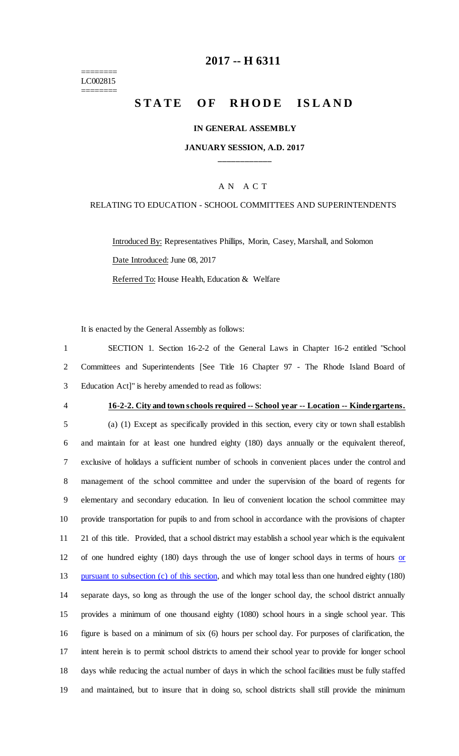======== LC002815 ========

### **2017 -- H 6311**

# STATE OF RHODE ISLAND

#### **IN GENERAL ASSEMBLY**

### **JANUARY SESSION, A.D. 2017 \_\_\_\_\_\_\_\_\_\_\_\_**

#### A N A C T

#### RELATING TO EDUCATION - SCHOOL COMMITTEES AND SUPERINTENDENTS

Introduced By: Representatives Phillips, Morin, Casey, Marshall, and Solomon Date Introduced: June 08, 2017 Referred To: House Health, Education & Welfare

It is enacted by the General Assembly as follows:

1 SECTION 1. Section 16-2-2 of the General Laws in Chapter 16-2 entitled "School 2 Committees and Superintendents [See Title 16 Chapter 97 - The Rhode Island Board of 3 Education Act]" is hereby amended to read as follows:

#### 4 **16-2-2. City and town schools required -- School year -- Location -- Kindergartens.**

 (a) (1) Except as specifically provided in this section, every city or town shall establish and maintain for at least one hundred eighty (180) days annually or the equivalent thereof, exclusive of holidays a sufficient number of schools in convenient places under the control and management of the school committee and under the supervision of the board of regents for elementary and secondary education. In lieu of convenient location the school committee may provide transportation for pupils to and from school in accordance with the provisions of chapter 21 of this title. Provided, that a school district may establish a school year which is the equivalent 12 of one hundred eighty (180) days through the use of longer school days in terms of hours or 13 pursuant to subsection (c) of this section, and which may total less than one hundred eighty (180) separate days, so long as through the use of the longer school day, the school district annually provides a minimum of one thousand eighty (1080) school hours in a single school year. This figure is based on a minimum of six (6) hours per school day. For purposes of clarification, the intent herein is to permit school districts to amend their school year to provide for longer school days while reducing the actual number of days in which the school facilities must be fully staffed and maintained, but to insure that in doing so, school districts shall still provide the minimum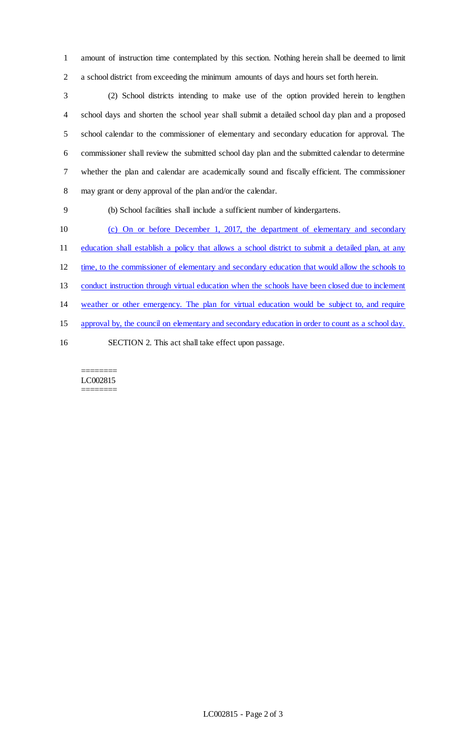amount of instruction time contemplated by this section. Nothing herein shall be deemed to limit a school district from exceeding the minimum amounts of days and hours set forth herein.

 (2) School districts intending to make use of the option provided herein to lengthen school days and shorten the school year shall submit a detailed school day plan and a proposed school calendar to the commissioner of elementary and secondary education for approval. The commissioner shall review the submitted school day plan and the submitted calendar to determine whether the plan and calendar are academically sound and fiscally efficient. The commissioner may grant or deny approval of the plan and/or the calendar.

(b) School facilities shall include a sufficient number of kindergartens.

 (c) On or before December 1, 2017, the department of elementary and secondary 11 education shall establish a policy that allows a school district to submit a detailed plan, at any time, to the commissioner of elementary and secondary education that would allow the schools to conduct instruction through virtual education when the schools have been closed due to inclement weather or other emergency. The plan for virtual education would be subject to, and require approval by, the council on elementary and secondary education in order to count as a school day. SECTION 2. This act shall take effect upon passage.

======== LC002815 ========